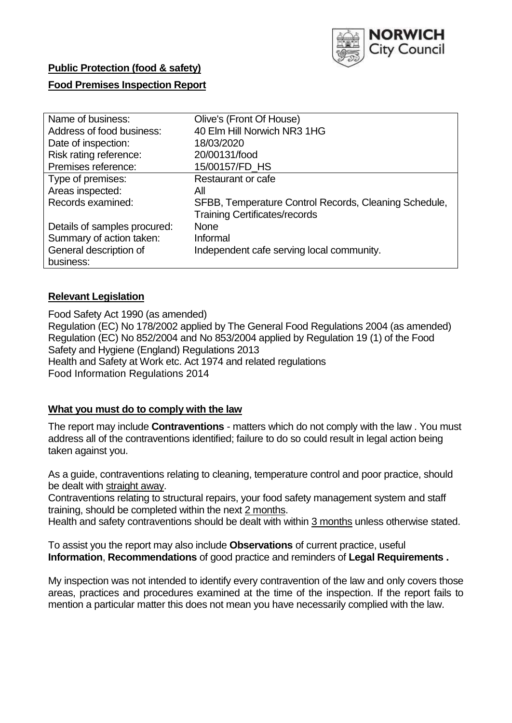

# **Public Protection (food & safety)**

## **Food Premises Inspection Report**

| Name of business:            | Olive's (Front Of House)                              |
|------------------------------|-------------------------------------------------------|
| Address of food business:    | 40 Elm Hill Norwich NR3 1HG                           |
| Date of inspection:          | 18/03/2020                                            |
| Risk rating reference:       | 20/00131/food                                         |
| Premises reference:          | 15/00157/FD_HS                                        |
| Type of premises:            | Restaurant or cafe                                    |
| Areas inspected:             | All                                                   |
| Records examined:            | SFBB, Temperature Control Records, Cleaning Schedule, |
|                              | <b>Training Certificates/records</b>                  |
| Details of samples procured: | <b>None</b>                                           |
| Summary of action taken:     | Informal                                              |
| General description of       | Independent cafe serving local community.             |
| business:                    |                                                       |

## **Relevant Legislation**

Food Safety Act 1990 (as amended) Regulation (EC) No 178/2002 applied by The General Food Regulations 2004 (as amended) Regulation (EC) No 852/2004 and No 853/2004 applied by Regulation 19 (1) of the Food Safety and Hygiene (England) Regulations 2013 Health and Safety at Work etc. Act 1974 and related regulations Food Information Regulations 2014

## **What you must do to comply with the law**

The report may include **Contraventions** - matters which do not comply with the law . You must address all of the contraventions identified; failure to do so could result in legal action being taken against you.

As a guide, contraventions relating to cleaning, temperature control and poor practice, should be dealt with straight away.

Contraventions relating to structural repairs, your food safety management system and staff training, should be completed within the next 2 months.

Health and safety contraventions should be dealt with within 3 months unless otherwise stated.

To assist you the report may also include **Observations** of current practice, useful **Information**, **Recommendations** of good practice and reminders of **Legal Requirements .**

My inspection was not intended to identify every contravention of the law and only covers those areas, practices and procedures examined at the time of the inspection. If the report fails to mention a particular matter this does not mean you have necessarily complied with the law.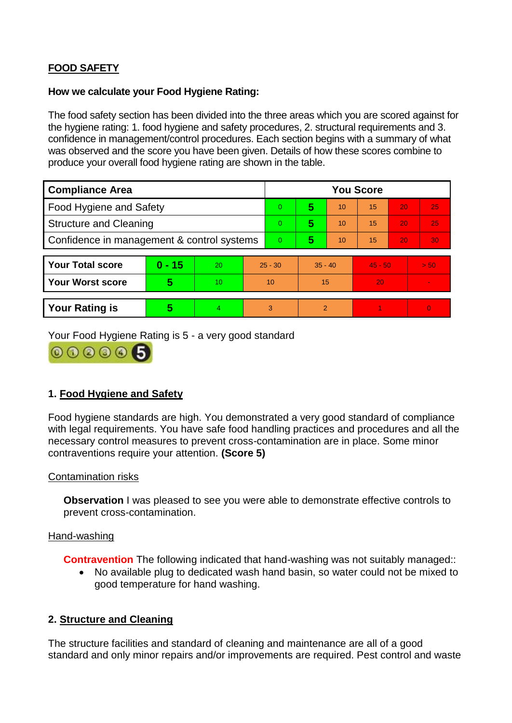## **FOOD SAFETY**

## **How we calculate your Food Hygiene Rating:**

The food safety section has been divided into the three areas which you are scored against for the hygiene rating: 1. food hygiene and safety procedures, 2. structural requirements and 3. confidence in management/control procedures. Each section begins with a summary of what was observed and the score you have been given. Details of how these scores combine to produce your overall food hygiene rating are shown in the table.

| <b>Compliance Area</b>                     |          |    |           | <b>You Score</b> |           |    |           |    |                |  |  |
|--------------------------------------------|----------|----|-----------|------------------|-----------|----|-----------|----|----------------|--|--|
| Food Hygiene and Safety                    |          |    |           | $\Omega$         | 5         | 10 | 15        | 20 | 25             |  |  |
| <b>Structure and Cleaning</b>              |          |    | $\Omega$  | 5                | 10        | 15 | 20        | 25 |                |  |  |
| Confidence in management & control systems |          |    | $\Omega$  | 5                | 10        | 15 | 20        | 30 |                |  |  |
|                                            |          |    |           |                  |           |    |           |    |                |  |  |
| <b>Your Total score</b>                    | $0 - 15$ | 20 | $25 - 30$ |                  | $35 - 40$ |    | $45 - 50$ |    | > 50           |  |  |
| Your Worst score                           | 5        | 10 | 10        |                  | 15        |    | 20        |    | $\blacksquare$ |  |  |
|                                            |          |    |           |                  |           |    |           |    |                |  |  |
| <b>Your Rating is</b>                      | 5        | 4. | 3         |                  | 2         |    |           |    | $\overline{0}$ |  |  |

Your Food Hygiene Rating is 5 - a very good standard



## **1. Food Hygiene and Safety**

Food hygiene standards are high. You demonstrated a very good standard of compliance with legal requirements. You have safe food handling practices and procedures and all the necessary control measures to prevent cross-contamination are in place. Some minor contraventions require your attention. **(Score 5)**

## Contamination risks

**Observation** I was pleased to see you were able to demonstrate effective controls to prevent cross-contamination.

## Hand-washing

**Contravention** The following indicated that hand-washing was not suitably managed:

 No available plug to dedicated wash hand basin, so water could not be mixed to good temperature for hand washing.

## **2. Structure and Cleaning**

The structure facilities and standard of cleaning and maintenance are all of a good standard and only minor repairs and/or improvements are required. Pest control and waste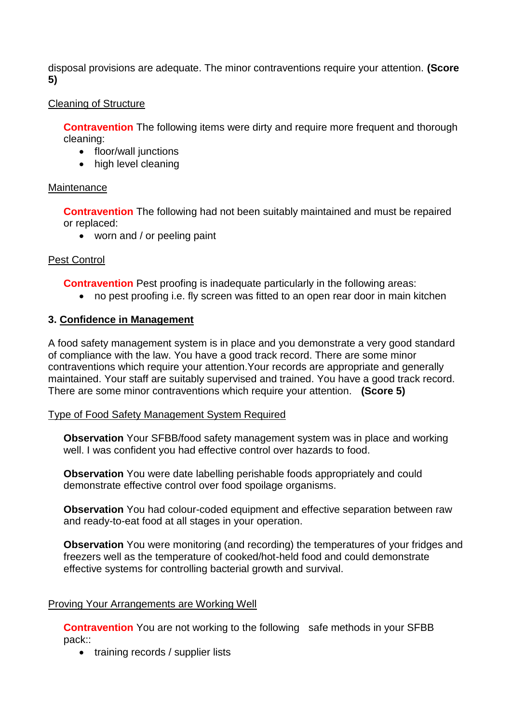disposal provisions are adequate. The minor contraventions require your attention. **(Score 5)**

## Cleaning of Structure

**Contravention** The following items were dirty and require more frequent and thorough cleaning:

- floor/wall junctions
- high level cleaning

## **Maintenance**

**Contravention** The following had not been suitably maintained and must be repaired or replaced:

• worn and / or peeling paint

## Pest Control

**Contravention** Pest proofing is inadequate particularly in the following areas:

• no pest proofing i.e. fly screen was fitted to an open rear door in main kitchen

## **3. Confidence in Management**

A food safety management system is in place and you demonstrate a very good standard of compliance with the law. You have a good track record. There are some minor contraventions which require your attention.Your records are appropriate and generally maintained. Your staff are suitably supervised and trained. You have a good track record. There are some minor contraventions which require your attention. **(Score 5)**

## Type of Food Safety Management System Required

**Observation** Your SFBB/food safety management system was in place and working well. I was confident you had effective control over hazards to food.

**Observation** You were date labelling perishable foods appropriately and could demonstrate effective control over food spoilage organisms.

**Observation** You had colour-coded equipment and effective separation between raw and ready-to-eat food at all stages in your operation.

**Observation** You were monitoring (and recording) the temperatures of your fridges and freezers well as the temperature of cooked/hot-held food and could demonstrate effective systems for controlling bacterial growth and survival.

## Proving Your Arrangements are Working Well

**Contravention** You are not working to the following safe methods in your SFBB pack::

• training records / supplier lists